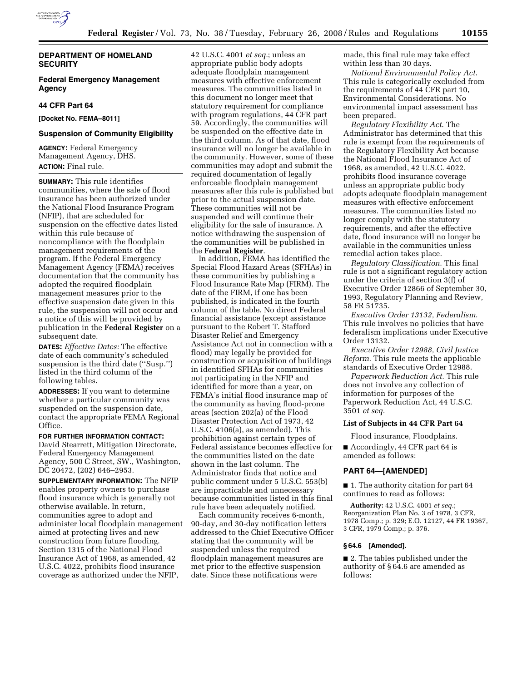

# **DEPARTMENT OF HOMELAND SECURITY**

# **Federal Emergency Management Agency**

### **44 CFR Part 64**

**[Docket No. FEMA–8011]** 

### **Suspension of Community Eligibility**

**AGENCY:** Federal Emergency Management Agency, DHS. **ACTION:** Final rule.

**SUMMARY:** This rule identifies communities, where the sale of flood insurance has been authorized under the National Flood Insurance Program (NFIP), that are scheduled for suspension on the effective dates listed within this rule because of noncompliance with the floodplain management requirements of the program. If the Federal Emergency Management Agency (FEMA) receives documentation that the community has adopted the required floodplain management measures prior to the effective suspension date given in this rule, the suspension will not occur and a notice of this will be provided by publication in the **Federal Register** on a subsequent date.

**DATES:** *Effective Dates:* The effective date of each community's scheduled suspension is the third date (''Susp.'') listed in the third column of the following tables.

**ADDRESSES:** If you want to determine whether a particular community was suspended on the suspension date, contact the appropriate FEMA Regional Office.

#### **FOR FURTHER INFORMATION CONTACT:**

David Stearrett, Mitigation Directorate, Federal Emergency Management Agency, 500 C Street, SW., Washington, DC 20472, (202) 646–2953.

**SUPPLEMENTARY INFORMATION:** The NFIP enables property owners to purchase flood insurance which is generally not otherwise available. In return, communities agree to adopt and administer local floodplain management aimed at protecting lives and new construction from future flooding. Section 1315 of the National Flood Insurance Act of 1968, as amended, 42 U.S.C. 4022, prohibits flood insurance coverage as authorized under the NFIP,

42 U.S.C. 4001 *et seq.*; unless an appropriate public body adopts adequate floodplain management measures with effective enforcement measures. The communities listed in this document no longer meet that statutory requirement for compliance with program regulations, 44 CFR part 59. Accordingly, the communities will be suspended on the effective date in the third column. As of that date, flood insurance will no longer be available in the community. However, some of these communities may adopt and submit the required documentation of legally enforceable floodplain management measures after this rule is published but prior to the actual suspension date. These communities will not be suspended and will continue their eligibility for the sale of insurance. A notice withdrawing the suspension of the communities will be published in the **Federal Register**.

In addition, FEMA has identified the Special Flood Hazard Areas (SFHAs) in these communities by publishing a Flood Insurance Rate Map (FIRM). The date of the FIRM, if one has been published, is indicated in the fourth column of the table. No direct Federal financial assistance (except assistance pursuant to the Robert T. Stafford Disaster Relief and Emergency Assistance Act not in connection with a flood) may legally be provided for construction or acquisition of buildings in identified SFHAs for communities not participating in the NFIP and identified for more than a year, on FEMA's initial flood insurance map of the community as having flood-prone areas (section 202(a) of the Flood Disaster Protection Act of 1973, 42 U.S.C. 4106(a), as amended). This prohibition against certain types of Federal assistance becomes effective for the communities listed on the date shown in the last column. The Administrator finds that notice and public comment under 5 U.S.C. 553(b) are impracticable and unnecessary because communities listed in this final rule have been adequately notified.

Each community receives 6-month, 90-day, and 30-day notification letters addressed to the Chief Executive Officer stating that the community will be suspended unless the required floodplain management measures are met prior to the effective suspension date. Since these notifications were

made, this final rule may take effect within less than 30 days.

*National Environmental Policy Act*. This rule is categorically excluded from the requirements of 44 CFR part 10, Environmental Considerations. No environmental impact assessment has been prepared.

*Regulatory Flexibility Act*. The Administrator has determined that this rule is exempt from the requirements of the Regulatory Flexibility Act because the National Flood Insurance Act of 1968, as amended, 42 U.S.C. 4022, prohibits flood insurance coverage unless an appropriate public body adopts adequate floodplain management measures with effective enforcement measures. The communities listed no longer comply with the statutory requirements, and after the effective date, flood insurance will no longer be available in the communities unless remedial action takes place.

*Regulatory Classification*. This final rule is not a significant regulatory action under the criteria of section 3(f) of Executive Order 12866 of September 30, 1993, Regulatory Planning and Review, 58 FR 51735.

*Executive Order 13132, Federalism*. This rule involves no policies that have federalism implications under Executive Order 13132.

*Executive Order 12988, Civil Justice Reform*. This rule meets the applicable standards of Executive Order 12988.

*Paperwork Reduction Act*. This rule does not involve any collection of information for purposes of the Paperwork Reduction Act, 44 U.S.C. 3501 *et seq.* 

### **List of Subjects in 44 CFR Part 64**

Flood insurance, Floodplains.

■ Accordingly, 44 CFR part 64 is amended as follows:

# **PART 64—[AMENDED]**

■ 1. The authority citation for part 64 continues to read as follows:

**Authority:** 42 U.S.C. 4001 *et seq.*; Reorganization Plan No. 3 of 1978, 3 CFR, 1978 Comp.; p. 329; E.O. 12127, 44 FR 19367, 3 CFR, 1979 Comp.; p. 376.

### **§ 64.6 [Amended].**

■ 2. The tables published under the authority of § 64.6 are amended as follows: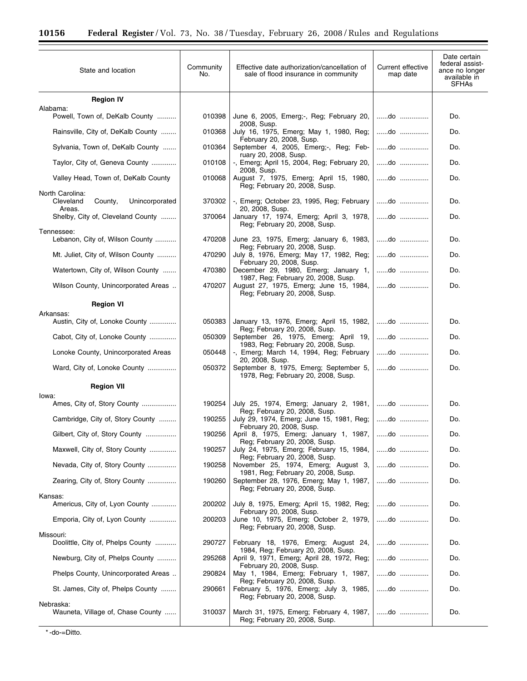# **10156 Federal Register** / Vol. 73, No. 38 / Tuesday, February 26, 2008 / Rules and Regulations

| State and location                                        | Community<br>No. | Effective date authorization/cancellation of<br>sale of flood insurance in community                            | Current effective<br>map date | Date certain<br>federal assist-<br>ance no longer<br>available in<br><b>SFHAs</b> |
|-----------------------------------------------------------|------------------|-----------------------------------------------------------------------------------------------------------------|-------------------------------|-----------------------------------------------------------------------------------|
| <b>Region IV</b>                                          |                  |                                                                                                                 |                               |                                                                                   |
| Alabama:<br>Powell, Town of, DeKalb County                | 010398           | June 6, 2005, Emerg;-, Reg; February 20,   do                                                                   |                               | Do.                                                                               |
| Rainsville, City of, DeKalb County                        | 010368           | 2008, Susp.<br>July 16, 1975, Emerg; May 1, 1980, Reg;                                                          | do                            | Do.                                                                               |
| Sylvania, Town of, DeKalb County                          | 010364           | February 20, 2008, Susp.<br>September 4, 2005, Emerg;-, Reg; Feb-   do<br>ruary 20, 2008, Susp.                 |                               | Do.                                                                               |
| Taylor, City of, Geneva County                            | 010108           | -, Emerg; April 15, 2004, Reg; February 20,                                                                     | $\ldots$ do $\ldots$ $\ldots$ | Do.                                                                               |
| Valley Head, Town of, DeKalb County                       | 010068           | 2008, Susp.<br>August 7, 1975, Emerg; April 15, 1980,<br>Reg; February 20, 2008, Susp.                          | do                            | Do.                                                                               |
| North Carolina:<br>Cleveland<br>Unincorporated<br>County, | 370302           | -, Emerg; October 23, 1995, Reg; February                                                                       | do                            | Do.                                                                               |
| Areas.<br>Shelby, City of, Cleveland County               | 370064           | 20, 2008, Susp.<br>January 17, 1974, Emerg; April 3, 1978,<br>Reg; February 20, 2008, Susp.                     | do                            | Do.                                                                               |
| Tennessee:<br>Lebanon, City of, Wilson County             | 470208           | June 23, 1975, Emerg; January 6, 1983,                                                                          | l do                          | Do.                                                                               |
| Mt. Juliet, City of, Wilson County                        | 470290           | Reg; February 20, 2008, Susp.<br>July 8, 1976, Emerg; May 17, 1982, Reg;                                        | do                            | Do.                                                                               |
| Watertown, City of, Wilson County                         | 470380           | February 20, 2008, Susp.<br>December 29, 1980, Emerg; January 1,   do<br>1987, Reg; February 20, 2008, Susp.    |                               | Do.                                                                               |
| Wilson County, Unincorporated Areas                       | 470207           | August 27, 1975, Emerg; June 15, 1984,<br>Reg; February 20, 2008, Susp.                                         | do                            | Do.                                                                               |
| <b>Region VI</b>                                          |                  |                                                                                                                 |                               |                                                                                   |
| Arkansas:<br>Austin, City of, Lonoke County               | 050383           | January 13, 1976, Emerg; April 15, 1982,                                                                        | do                            | Do.                                                                               |
| Cabot, City of, Lonoke County                             | 050309           | Reg; February 20, 2008, Susp.<br>September 26, 1975, Emerg; April 19,                                           | do                            | Do.                                                                               |
| Lonoke County, Unincorporated Areas                       | 050448           | 1983, Reg; February 20, 2008, Susp.<br>-, Emerg; March 14, 1994, Reg; February                                  | do                            | Do.                                                                               |
| Ward, City of, Lonoke County                              | 050372           | 20, 2008, Susp.<br>September 8, 1975, Emerg; September 5,<br>1978, Reg; February 20, 2008, Susp.                | do                            | Do.                                                                               |
| <b>Region VII</b>                                         |                  |                                                                                                                 |                               |                                                                                   |
| lowa:<br>Ames, City of, Story County                      | 190254           | July 25, 1974, Emerg; January 2, 1981,   do                                                                     |                               | Do.                                                                               |
| Cambridge, City of, Story County                          | 190255           | Reg; February 20, 2008, Susp.<br>July 29, 1974, Emerg; June 15, 1981, Reg;   do                                 |                               | Do.                                                                               |
| Gilbert, City of, Story County                            | 190256           | February 20, 2008, Susp.<br>April 8, 1975, Emerg; January 1, 1987,                                              | do                            | Do.                                                                               |
| Maxwell, City of, Story County                            | 190257           | Reg; February 20, 2008, Susp.<br>July 24, 1975, Emerg; February 15, 1984,                                       | do                            | Do.                                                                               |
| Nevada, City of, Story County                             | 190258           | Reg; February 20, 2008, Susp.<br>November 25, 1974, Emerg; August 3,                                            | do                            | Do.                                                                               |
| Zearing, City of, Story County                            | 190260           | 1981, Reg; February 20, 2008, Susp.<br>September 28, 1976, Emerg; May 1, 1987,<br>Reg; February 20, 2008, Susp. | do                            | Do.                                                                               |
| Kansas:<br>Americus, City of, Lyon County                 | 200202           | July 8, 1975, Emerg; April 15, 1982, Reg;                                                                       | do                            | Do.                                                                               |
| Emporia, City of, Lyon County                             | 200203           | February 20, 2008, Susp.<br>June 10, 1975, Emerg; October 2, 1979,<br>Reg; February 20, 2008, Susp.             | do                            | Do.                                                                               |
| Missouri:<br>Doolittle, City of, Phelps County            | 290727           | February 18, 1976, Emerg; August 24,                                                                            | do                            | Do.                                                                               |
| Newburg, City of, Phelps County                           | 295268           | 1984, Reg; February 20, 2008, Susp.<br>April 9, 1971, Emerg; April 28, 1972, Reg;                               | do                            | Do.                                                                               |
| Phelps County, Unincorporated Areas                       | 290824           | February 20, 2008, Susp.<br>May 1, 1984, Emerg; February 1, 1987,                                               | do                            | Do.                                                                               |
| St. James, City of, Phelps County                         | 290661           | Reg; February 20, 2008, Susp.<br>February 5, 1976, Emerg; July 3, 1985,<br>Reg; February 20, 2008, Susp.        | do                            | Do.                                                                               |
| Nebraska:<br>Wauneta, Village of, Chase County            | 310037           | March 31, 1975, Emerg; February 4, 1987,<br>Reg; February 20, 2008, Susp.                                       | do                            | Do.                                                                               |

\* -do-=Ditto.